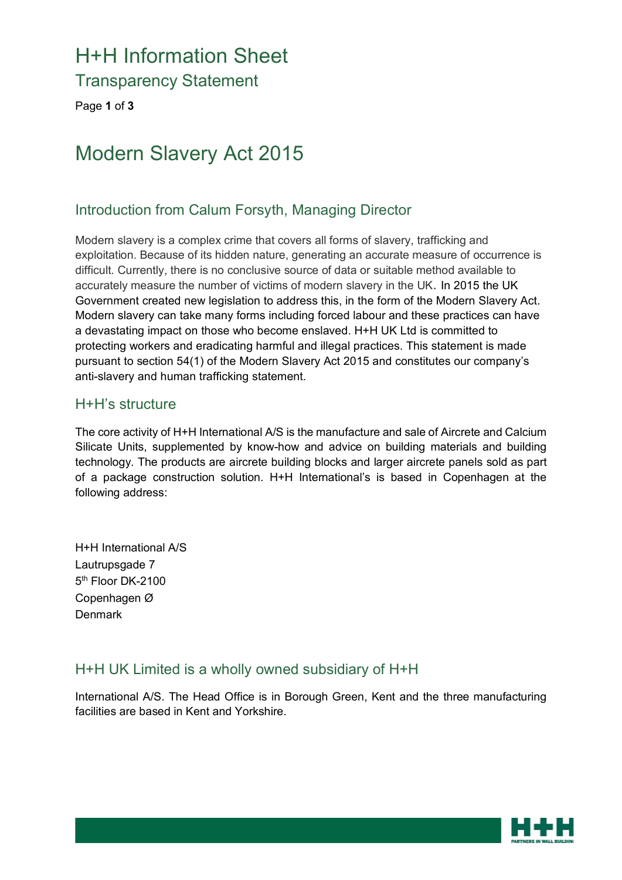# H+H Information Sheet

Transparency Statement

Page **1** of **3**

## Modern Slavery Act 2015

#### Introduction from Calum Forsyth, Managing Director

Modern slavery is a complex crime that covers all forms of slavery, trafficking and exploitation. Because of its hidden nature, generating an accurate measure of occurrence is difficult. Currently, there is no conclusive source of data or suitable method available to accurately measure the number of victims of modern slavery in the UK. In 2015 the UK Government created new legislation to address this, in the form of the Modern Slavery Act. Modern slavery can take many forms including forced labour and these practices can have a devastating impact on those who become enslaved. H+H UK Ltd is committed to protecting workers and eradicating harmful and illegal practices. This statement is made pursuant to section 54(1) of the Modern Slavery Act 2015 and constitutes our company's anti-slavery and human trafficking statement.

#### H+H's structure

The core activity of H+H International A/S is the manufacture and sale of Aircrete and Calcium Silicate Units, supplemented by know-how and advice on building materials and building technology. The products are aircrete building blocks and larger aircrete panels sold as part of a package construction solution. H+H International's is based in Copenhagen at the following address:

H+H International A/S Lautrupsgade 7 5<sup>th</sup> Floor DK-2100 Copenhagen Ø Denmark

#### H+H UK Limited is a wholly owned subsidiary of H+H

International A/S. The Head Office is in Borough Green, Kent and the three manufacturing facilities are based in Kent and Yorkshire.

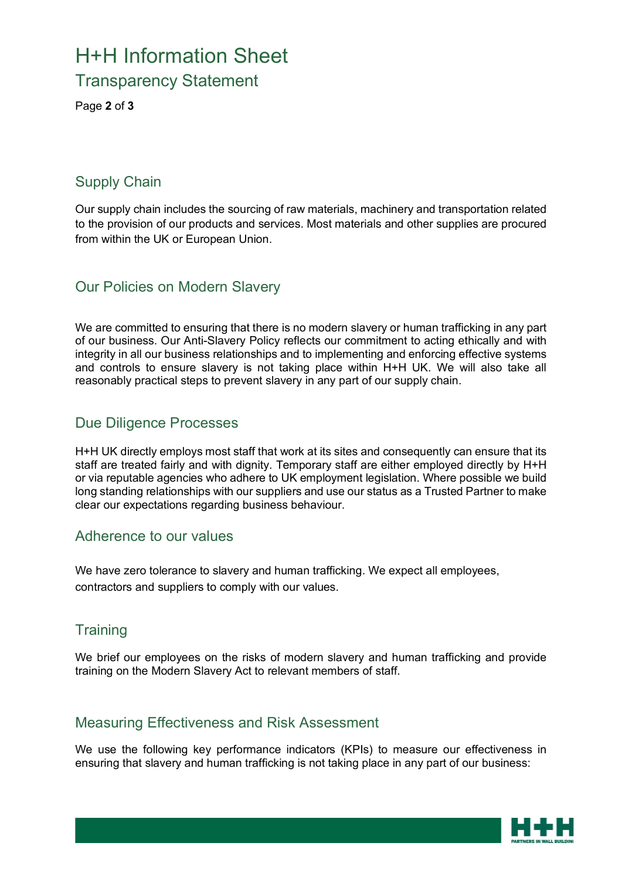### H+H Information Sheet Transparency Statement

Page **2** of **3**

#### Supply Chain

Our supply chain includes the sourcing of raw materials, machinery and transportation related to the provision of our products and services. Most materials and other supplies are procured from within the UK or European Union.

#### Our Policies on Modern Slavery

We are committed to ensuring that there is no modern slavery or human trafficking in any part of our business. Our Anti-Slavery Policy reflects our commitment to acting ethically and with integrity in all our business relationships and to implementing and enforcing effective systems and controls to ensure slavery is not taking place within H+H UK. We will also take all reasonably practical steps to prevent slavery in any part of our supply chain.

#### Due Diligence Processes

H+H UK directly employs most staff that work at its sites and consequently can ensure that its staff are treated fairly and with dignity. Temporary staff are either employed directly by H+H or via reputable agencies who adhere to UK employment legislation. Where possible we build long standing relationships with our suppliers and use our status as a Trusted Partner to make clear our expectations regarding business behaviour.

#### Adherence to our values

We have zero tolerance to slavery and human trafficking. We expect all employees, contractors and suppliers to comply with our values.

#### **Training**

We brief our employees on the risks of modern slavery and human trafficking and provide training on the Modern Slavery Act to relevant members of staff.

#### Measuring Effectiveness and Risk Assessment

We use the following key performance indicators (KPIs) to measure our effectiveness in ensuring that slavery and human trafficking is not taking place in any part of our business: